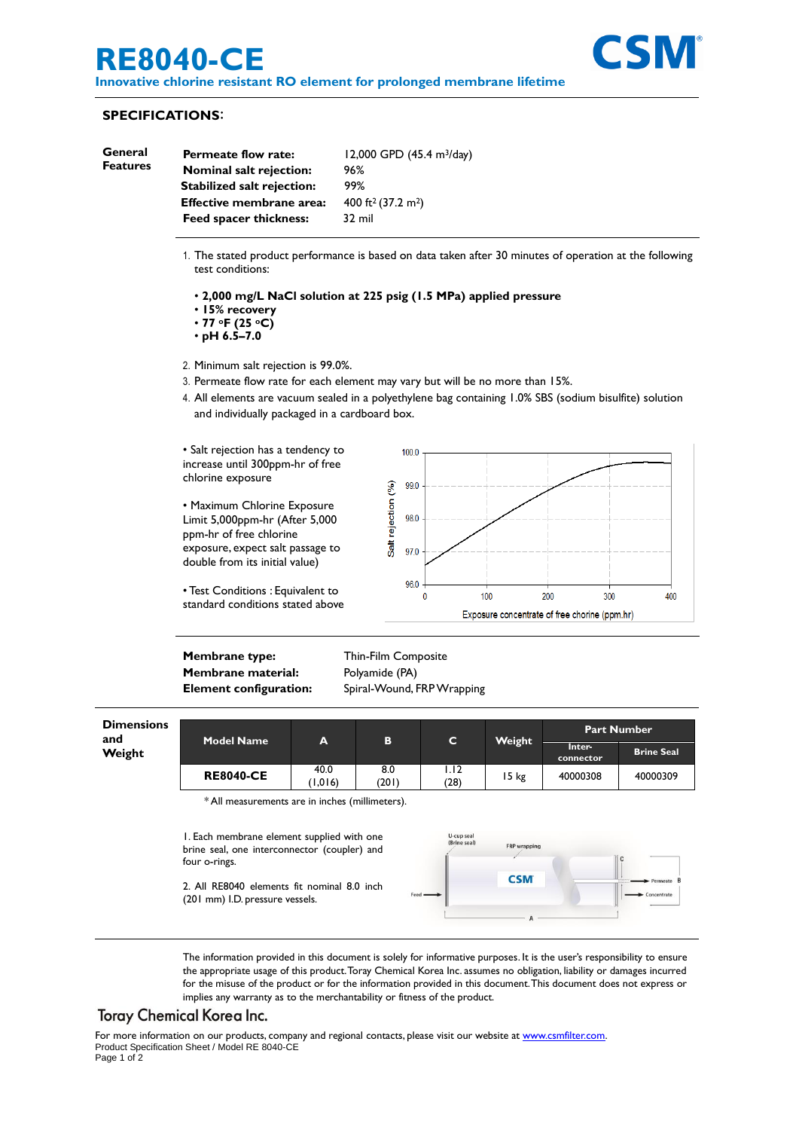# **RE8040-CE**

**Innovative chlorine resistant RO element for prolonged membrane lifetime**



#### **SPECIFICATIONS**:

| General<br><b>Features</b> | <b>Permeate flow rate:</b>        | 12,000 GPD $(45.4 \text{ m}^3/\text{day})$ |
|----------------------------|-----------------------------------|--------------------------------------------|
|                            | <b>Nominal salt rejection:</b>    | 96%                                        |
|                            | <b>Stabilized salt rejection:</b> | 99%                                        |
|                            | <b>Effective membrane area:</b>   | 400 ft <sup>2</sup> (37.2 m <sup>2</sup> ) |
|                            | <b>Feed spacer thickness:</b>     | 32 mil                                     |
|                            |                                   |                                            |

- 1. The stated product performance is based on data taken after 30 minutes of operation at the following test conditions:
	- **2,000 mg/L NaCl solution at 225 psig (1.5 MPa) applied pressure**
	- **15% recovery**
	- **77 oF (25 oC)**
	- **pH 6.5–7.0**
- 2. Minimum salt rejection is 99.0%.
- 3. Permeate flow rate for each element may vary but will be no more than 15%.
- 4. All elements are vacuum sealed in a polyethylene bag containing 1.0% SBS (sodium bisulfite) solution and individually packaged in a cardboard box.

• Salt rejection has a tendency to increase until 300ppm-hr of free chlorine exposure

• Maximum Chlorine Exposure Limit 5,000ppm-hr (After 5,000 ppm-hr of free chlorine exposure, expect salt passage to double from its initial value)

• Test Conditions : Equivalent to standard conditions stated above



**Membrane type:** Thin-Film Composite **Membrane material:** Polyamide (PA)

**Element configuration:** Spiral-Wound, FRP Wrapping

| <b>Dimensions</b><br>and<br>Weight | <b>Model Name</b> | A               | в            | C            | Weight | <b>Part Number</b>  |                   |
|------------------------------------|-------------------|-----------------|--------------|--------------|--------|---------------------|-------------------|
|                                    |                   |                 |              |              |        | Inter-<br>connector | <b>Brine Seal</b> |
|                                    | <b>RE8040-CE</b>  | 40.0<br>(1.016) | 8.0<br>(201) | I.I2<br>(28) | 15 kg  | 40000308            | 40000309          |

\* All measurements are in inches (millimeters).

1. Each membrane element supplied with one brine seal, one interconnector (coupler) and four o-rings.

2. All RE8040 elements fit nominal 8.0 inch (201 mm) I.D. pressure vessels.



The information provided in this document is solely for informative purposes. It is the user's responsibility to ensure the appropriate usage of this product.Toray Chemical Korea Inc. assumes no obligation, liability or damages incurred for the misuse of the product or for the information provided in this document.This document does not express or implies any warranty as to the merchantability or fitness of the product.

## **Toray Chemical Korea Inc.**

For more information on our products, company and regional contacts, please visit our website at [www.csmfilter.com.](http://www.csmfilter.com/) Product Specification Sheet / Model RE 8040-CE